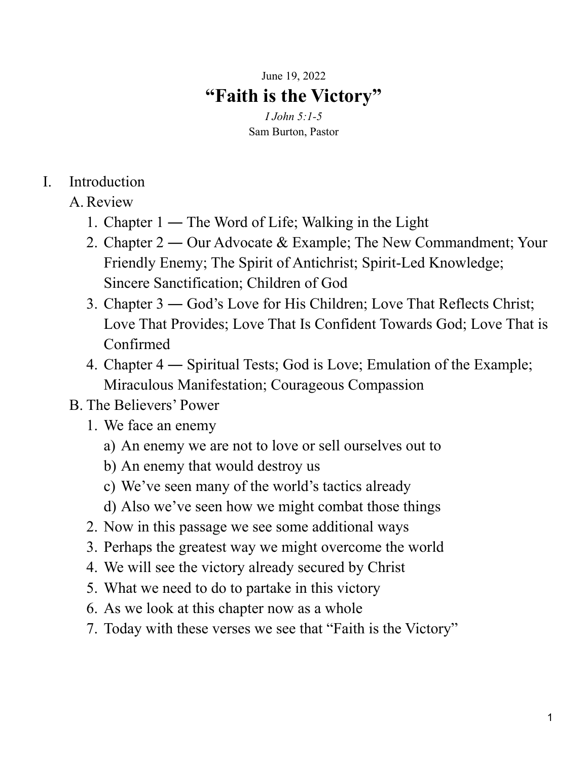## June 19, 2022 **"Faith is the Victory"**

*I John 5:1-5* Sam Burton, Pastor

## I. Introduction

- A.Review
	- 1. Chapter 1 ― The Word of Life; Walking in the Light
	- 2. Chapter 2 ― Our Advocate & Example; The New Commandment; Your Friendly Enemy; The Spirit of Antichrist; Spirit-Led Knowledge; Sincere Sanctification; Children of God
	- 3. Chapter 3 ― God's Love for His Children; Love That Reflects Christ; Love That Provides; Love That Is Confident Towards God; Love That is Confirmed
	- 4. Chapter 4 ― Spiritual Tests; God is Love; Emulation of the Example; Miraculous Manifestation; Courageous Compassion

## B. The Believers' Power

- 1. We face an enemy
	- a) An enemy we are not to love or sell ourselves out to
	- b) An enemy that would destroy us
	- c) We've seen many of the world's tactics already
	- d) Also we've seen how we might combat those things
- 2. Now in this passage we see some additional ways
- 3. Perhaps the greatest way we might overcome the world
- 4. We will see the victory already secured by Christ
- 5. What we need to do to partake in this victory
- 6. As we look at this chapter now as a whole
- 7. Today with these verses we see that "Faith is the Victory"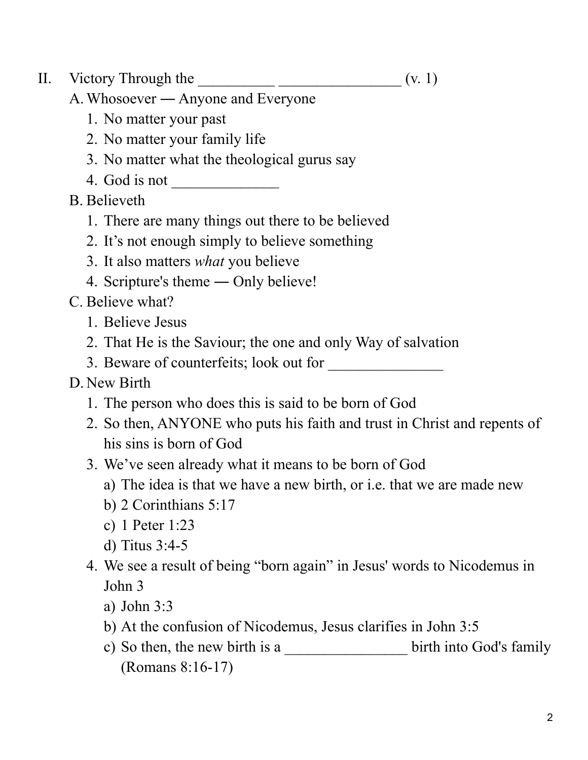- II. Victory Through the  $\qquad \qquad$   $($ v. 1)
- 

- A.Whosoever ― Anyone and Everyone
	- 1. No matter your past
	- 2. No matter your family life
	- 3. No matter what the theological gurus say
	- 4. God is not \_\_\_\_\_\_\_\_\_\_\_\_\_\_
- B. Believeth
	- 1. There are many things out there to be believed
	- 2. It's not enough simply to believe something
	- 3. It also matters *what* you believe
	- 4. Scripture's theme ― Only believe!
- C. Believe what?
	- 1. Believe Jesus
	- 2. That He is the Saviour; the one and only Way of salvation
	- 3. Beware of counterfeits; look out for
- D. New Birth
	- 1. The person who does this is said to be born of God
	- 2. So then, ANYONE who puts his faith and trust in Christ and repents of his sins is born of God
	- 3. We've seen already what it means to be born of God
		- a) The idea is that we have a new birth, or i.e. that we are made new
		- b) 2 Corinthians 5:17
		- c) 1 Peter 1:23
		- d) Titus 3:4-5
	- 4. We see a result of being "born again" in Jesus' words to Nicodemus in John 3
		- a) John 3:3
		- b) At the confusion of Nicodemus, Jesus clarifies in John 3:5
		- c) So then, the new birth is a \_\_\_\_\_\_\_\_\_\_\_\_\_\_\_\_\_\_\_ birth into God's family (Romans 8:16-17)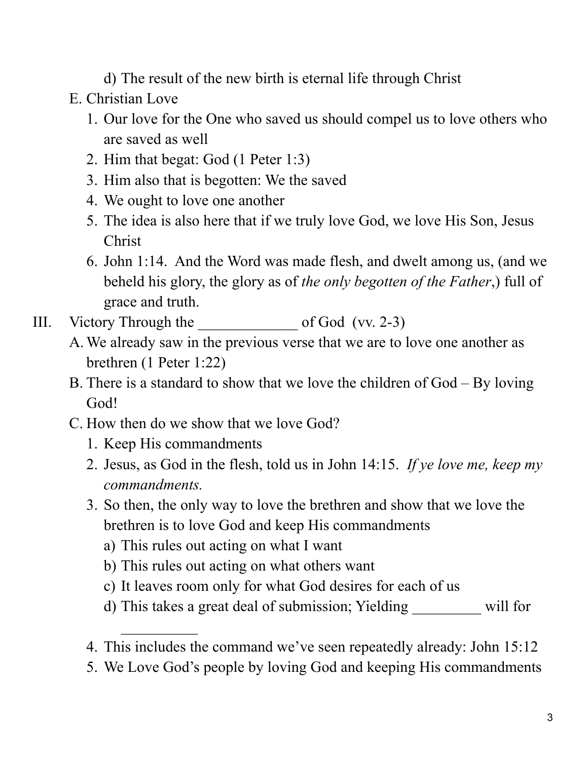d) The result of the new birth is eternal life through Christ

- E. Christian Love
	- 1. Our love for the One who saved us should compel us to love others who are saved as well
	- 2. Him that begat: God (1 Peter 1:3)
	- 3. Him also that is begotten: We the saved
	- 4. We ought to love one another
	- 5. The idea is also here that if we truly love God, we love His Son, Jesus Christ
	- 6. John 1:14. And the Word was made flesh, and dwelt among us, (and we beheld his glory, the glory as of *the only begotten of the Father*,) full of grace and truth.
- III. Victory Through the \_\_\_\_\_\_\_\_\_\_\_\_\_ of God (vv. 2-3)
	- A.We already saw in the previous verse that we are to love one another as brethren (1 Peter 1:22)
	- B. There is a standard to show that we love the children of God By loving God!
	- C. How then do we show that we love God?
		- 1. Keep His commandments

 $\frac{1}{2}$ 

- 2. Jesus, as God in the flesh, told us in John 14:15. *If ye love me, keep my commandments.*
- 3. So then, the only way to love the brethren and show that we love the brethren is to love God and keep His commandments
	- a) This rules out acting on what I want
	- b) This rules out acting on what others want
	- c) It leaves room only for what God desires for each of us
	- d) This takes a great deal of submission; Yielding \_\_\_\_\_\_\_\_\_ will for
- 4. This includes the command we've seen repeatedly already: John 15:12
- 5. We Love God's people by loving God and keeping His commandments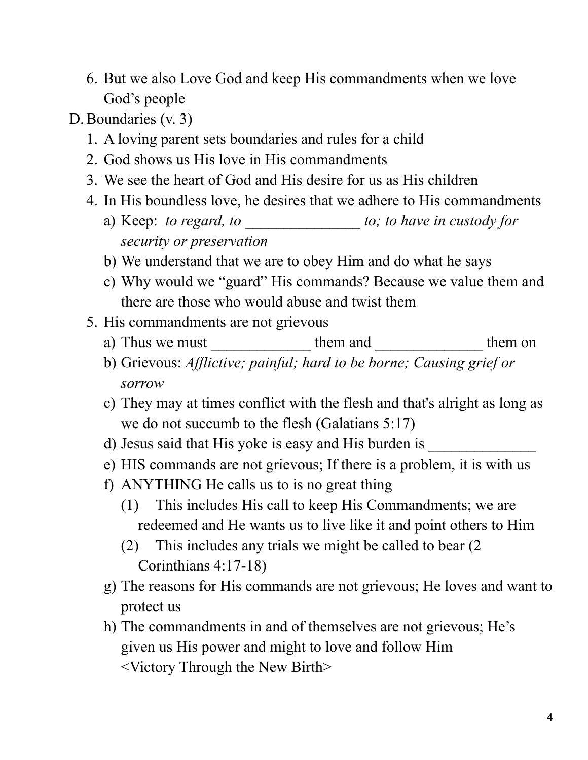- 6. But we also Love God and keep His commandments when we love God's people
- D.Boundaries (v. 3)
	- 1. A loving parent sets boundaries and rules for a child
	- 2. God shows us His love in His commandments
	- 3. We see the heart of God and His desire for us as His children
	- 4. In His boundless love, he desires that we adhere to His commandments
		- a) Keep: *to regard, to* \_\_\_\_\_\_\_\_\_\_\_\_\_\_\_ *to; to have in custody for security or preservation*
		- b) We understand that we are to obey Him and do what he says
		- c) Why would we "guard" His commands? Because we value them and there are those who would abuse and twist them
	- 5. His commandments are not grievous
		- a) Thus we must \_\_\_\_\_\_\_\_\_\_\_\_\_\_\_\_\_\_\_\_\_ them and \_\_\_\_\_\_\_\_\_\_\_\_\_\_\_\_\_\_\_\_\_\_ them on
		- b) Grievous: *Af lictive; painful; hard to be borne; Causing grief or sorrow*
		- c) They may at times conflict with the flesh and that's alright as long as we do not succumb to the flesh (Galatians 5:17)
		- d) Jesus said that His yoke is easy and His burden is \_\_\_\_\_\_\_\_\_\_\_\_\_\_\_\_\_\_\_\_\_\_\_\_\_\_\_
		- e) HIS commands are not grievous; If there is a problem, it is with us
		- f) ANYTHING He calls us to is no great thing
			- (1) This includes His call to keep His Commandments; we are redeemed and He wants us to live like it and point others to Him
			- (2) This includes any trials we might be called to bear (2 Corinthians 4:17-18)
		- g) The reasons for His commands are not grievous; He loves and want to protect us
		- h) The commandments in and of themselves are not grievous; He's given us His power and might to love and follow Him <Victory Through the New Birth>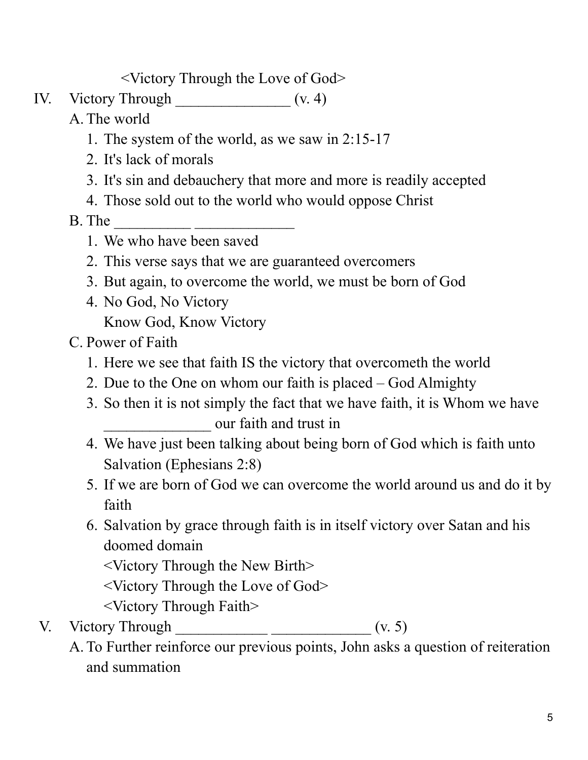<Victory Through the Love of God>

- IV. Victory Through \_\_\_\_\_\_\_\_\_\_\_\_\_\_\_ (v. 4)
	- A. The world
		- 1. The system of the world, as we saw in 2:15-17
		- 2. It's lack of morals
		- 3. It's sin and debauchery that more and more is readily accepted
		- 4. Those sold out to the world who would oppose Christ
	- B. The \_\_\_\_\_\_\_\_\_\_ \_\_\_\_\_\_\_\_\_\_\_\_\_
		- 1. We who have been saved
		- 2. This verse says that we are guaranteed overcomers
		- 3. But again, to overcome the world, we must be born of God
		- 4. No God, No Victory Know God, Know Victory
	- C. Power of Faith
		- 1. Here we see that faith IS the victory that overcometh the world
		- 2. Due to the One on whom our faith is placed God Almighty
		- 3. So then it is not simply the fact that we have faith, it is Whom we have \_\_\_\_\_\_\_\_\_\_\_\_\_\_ our faith and trust in
		- 4. We have just been talking about being born of God which is faith unto Salvation (Ephesians 2:8)
		- 5. If we are born of God we can overcome the world around us and do it by faith
		- 6. Salvation by grace through faith is in itself victory over Satan and his doomed domain

<Victory Through the New Birth>

- <Victory Through the Love of God>
- <Victory Through Faith>
- V. Victory Through  $\frac{1}{\sqrt{1-\frac{1}{2}}\sqrt{1-\frac{1}{2}}\sqrt{1-\frac{1}{2}}\sqrt{1-\frac{1}{2}}\sqrt{1-\frac{1}{2}}\sqrt{1-\frac{1}{2}}\sqrt{1-\frac{1}{2}}\sqrt{1-\frac{1}{2}}\sqrt{1-\frac{1}{2}}\sqrt{1-\frac{1}{2}}\sqrt{1-\frac{1}{2}}\sqrt{1-\frac{1}{2}}\sqrt{1-\frac{1}{2}}\sqrt{1-\frac{1}{2}}\sqrt{1-\frac{1}{2}}\sqrt{1-\frac{1}{2}}\sqrt{1-\frac{1}{2}}\sqrt{1-\frac{1}{$ 
	- A. To Further reinforce our previous points, John asks a question of reiteration and summation